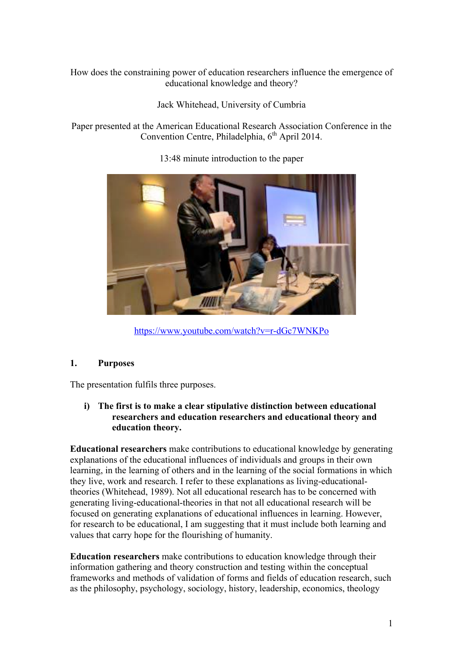How does the constraining power of education researchers influence the emergence of educational knowledge and theory?

Jack Whitehead, University of Cumbria

Paper presented at the American Educational Research Association Conference in the Convention Centre, Philadelphia, 6<sup>th</sup> April 2014.



13:48 minute introduction to the paper

https://www.youtube.com/watch?v=r-dGc7WNKPo

# **1. Purposes**

The presentation fulfils three purposes.

# **i) The first is to make a clear stipulative distinction between educational researchers and education researchers and educational theory and education theory.**

**Educational researchers** make contributions to educational knowledge by generating explanations of the educational influences of individuals and groups in their own learning, in the learning of others and in the learning of the social formations in which they live, work and research. I refer to these explanations as living-educationaltheories (Whitehead, 1989). Not all educational research has to be concerned with generating living-educational-theories in that not all educational research will be focused on generating explanations of educational influences in learning. However, for research to be educational, I am suggesting that it must include both learning and values that carry hope for the flourishing of humanity.

**Education researchers** make contributions to education knowledge through their information gathering and theory construction and testing within the conceptual frameworks and methods of validation of forms and fields of education research, such as the philosophy, psychology, sociology, history, leadership, economics, theology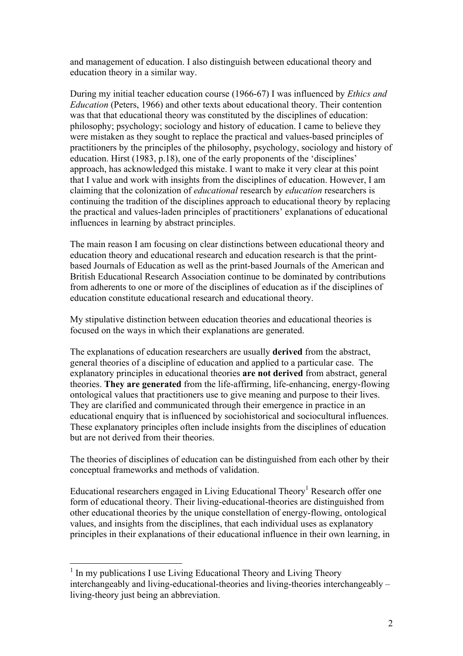and management of education. I also distinguish between educational theory and education theory in a similar way.

During my initial teacher education course (1966-67) I was influenced by *Ethics and Education* (Peters, 1966) and other texts about educational theory. Their contention was that that educational theory was constituted by the disciplines of education: philosophy; psychology; sociology and history of education. I came to believe they were mistaken as they sought to replace the practical and values-based principles of practitioners by the principles of the philosophy, psychology, sociology and history of education. Hirst (1983, p.18), one of the early proponents of the 'disciplines' approach, has acknowledged this mistake. I want to make it very clear at this point that I value and work with insights from the disciplines of education. However, I am claiming that the colonization of *educational* research by *education* researchers is continuing the tradition of the disciplines approach to educational theory by replacing the practical and values-laden principles of practitioners' explanations of educational influences in learning by abstract principles.

The main reason I am focusing on clear distinctions between educational theory and education theory and educational research and education research is that the printbased Journals of Education as well as the print-based Journals of the American and British Educational Research Association continue to be dominated by contributions from adherents to one or more of the disciplines of education as if the disciplines of education constitute educational research and educational theory.

My stipulative distinction between education theories and educational theories is focused on the ways in which their explanations are generated.

The explanations of education researchers are usually **derived** from the abstract, general theories of a discipline of education and applied to a particular case. The explanatory principles in educational theories **are not derived** from abstract, general theories. **They are generated** from the life-affirming, life-enhancing, energy-flowing ontological values that practitioners use to give meaning and purpose to their lives. They are clarified and communicated through their emergence in practice in an educational enquiry that is influenced by sociohistorical and sociocultural influences. These explanatory principles often include insights from the disciplines of education but are not derived from their theories.

The theories of disciplines of education can be distinguished from each other by their conceptual frameworks and methods of validation.

Educational researchers engaged in Living Educational Theory<sup>1</sup> Research offer one form of educational theory. Their living-educational-theories are distinguished from other educational theories by the unique constellation of energy-flowing, ontological values, and insights from the disciplines, that each individual uses as explanatory principles in their explanations of their educational influence in their own learning, in

<sup>&</sup>lt;sup>1</sup> In my publications I use Living Educational Theory and Living Theory interchangeably and living-educational-theories and living-theories interchangeably – living-theory just being an abbreviation.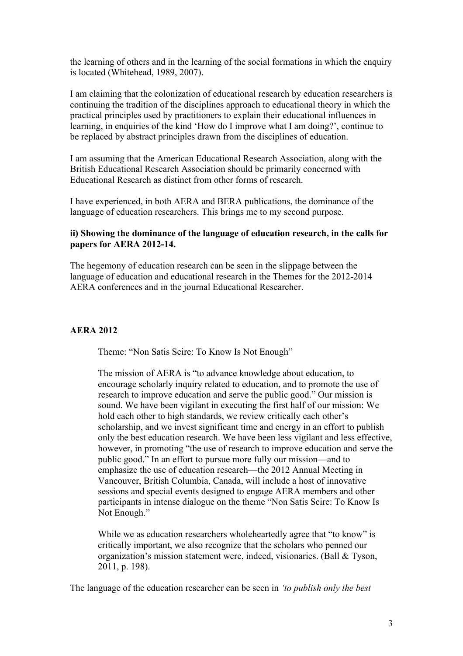the learning of others and in the learning of the social formations in which the enquiry is located (Whitehead, 1989, 2007).

I am claiming that the colonization of educational research by education researchers is continuing the tradition of the disciplines approach to educational theory in which the practical principles used by practitioners to explain their educational influences in learning, in enquiries of the kind 'How do I improve what I am doing?', continue to be replaced by abstract principles drawn from the disciplines of education.

I am assuming that the American Educational Research Association, along with the British Educational Research Association should be primarily concerned with Educational Research as distinct from other forms of research.

I have experienced, in both AERA and BERA publications, the dominance of the language of education researchers. This brings me to my second purpose.

### **ii) Showing the dominance of the language of education research, in the calls for papers for AERA 2012-14.**

The hegemony of education research can be seen in the slippage between the language of education and educational research in the Themes for the 2012-2014 AERA conferences and in the journal Educational Researcher.

#### **AERA 2012**

Theme: "Non Satis Scire: To Know Is Not Enough"

The mission of AERA is "to advance knowledge about education, to encourage scholarly inquiry related to education, and to promote the use of research to improve education and serve the public good." Our mission is sound. We have been vigilant in executing the first half of our mission: We hold each other to high standards, we review critically each other's scholarship, and we invest significant time and energy in an effort to publish only the best education research. We have been less vigilant and less effective, however, in promoting "the use of research to improve education and serve the public good." In an effort to pursue more fully our mission—and to emphasize the use of education research—the 2012 Annual Meeting in Vancouver, British Columbia, Canada, will include a host of innovative sessions and special events designed to engage AERA members and other participants in intense dialogue on the theme "Non Satis Scire: To Know Is Not Enough."

While we as education researchers wholeheartedly agree that "to know" is critically important, we also recognize that the scholars who penned our organization's mission statement were, indeed, visionaries. (Ball & Tyson, 2011, p. 198).

The language of the education researcher can be seen in *'to publish only the best*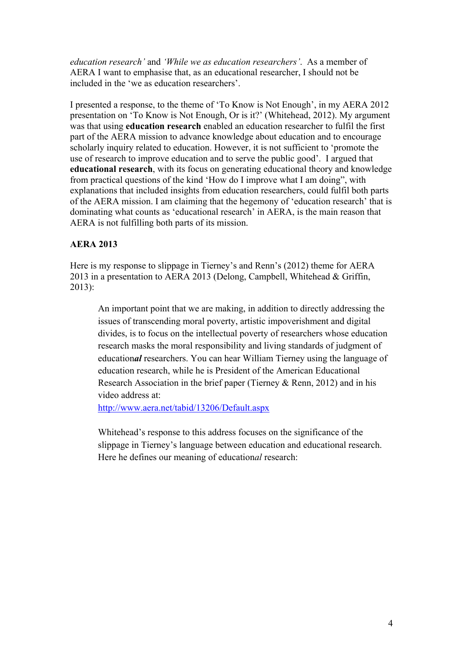*education research'* and *'While we as education researchers'*. As a member of AERA I want to emphasise that, as an educational researcher, I should not be included in the 'we as education researchers'.

I presented a response, to the theme of 'To Know is Not Enough', in my AERA 2012 presentation on 'To Know is Not Enough, Or is it?' (Whitehead, 2012). My argument was that using **education research** enabled an education researcher to fulfil the first part of the AERA mission to advance knowledge about education and to encourage scholarly inquiry related to education. However, it is not sufficient to 'promote the use of research to improve education and to serve the public good'. I argued that **educational research**, with its focus on generating educational theory and knowledge from practical questions of the kind 'How do I improve what I am doing", with explanations that included insights from education researchers, could fulfil both parts of the AERA mission. I am claiming that the hegemony of 'education research' that is dominating what counts as 'educational research' in AERA, is the main reason that AERA is not fulfilling both parts of its mission.

# **AERA 2013**

Here is my response to slippage in Tierney's and Renn's (2012) theme for AERA 2013 in a presentation to AERA 2013 (Delong, Campbell, Whitehead & Griffin, 2013):

An important point that we are making, in addition to directly addressing the issues of transcending moral poverty, artistic impoverishment and digital divides, is to focus on the intellectual poverty of researchers whose education research masks the moral responsibility and living standards of judgment of education*al* researchers. You can hear William Tierney using the language of education research, while he is President of the American Educational Research Association in the brief paper (Tierney & Renn, 2012) and in his video address at:

http://www.aera.net/tabid/13206/Default.aspx

Whitehead's response to this address focuses on the significance of the slippage in Tierney's language between education and educational research. Here he defines our meaning of education*al* research: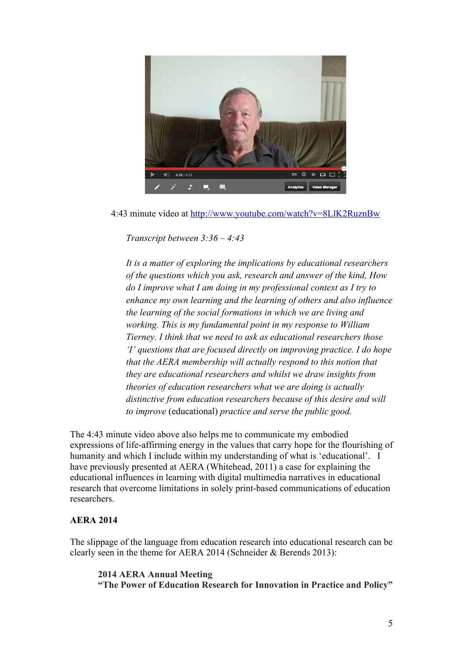

4:43 minute video at http://www.youtube.com/watch?v=8LlK2RuznBw

*Transcript between 3:36 – 4:43*

*It is a matter of exploring the implications by educational researchers of the questions which you ask, research and answer of the kind, How do I improve what I am doing in my professional context as I try to enhance my own learning and the learning of others and also influence the learning of the social formations in which we are living and working. This is my fundamental point in my response to William Tierney. I think that we need to ask as educational researchers those 'I' questions that are focused directly on improving practice. I do hope that the AERA membership will actually respond to this notion that they are educational researchers and whilst we draw insights from theories of education researchers what we are doing is actually distinctive from education researchers because of this desire and will to improve* (educational) *practice and serve the public good.*

The 4:43 minute video above also helps me to communicate my embodied expressions of life-affirming energy in the values that carry hope for the flourishing of humanity and which I include within my understanding of what is 'educational'. I have previously presented at AERA (Whitehead, 2011) a case for explaining the educational influences in learning with digital multimedia narratives in educational research that overcome limitations in solely print-based communications of education researchers.

# **AERA 2014**

The slippage of the language from education research into educational research can be clearly seen in the theme for AERA 2014 (Schneider & Berends 2013):

**2014 AERA Annual Meeting "The Power of Education Research for Innovation in Practice and Policy"**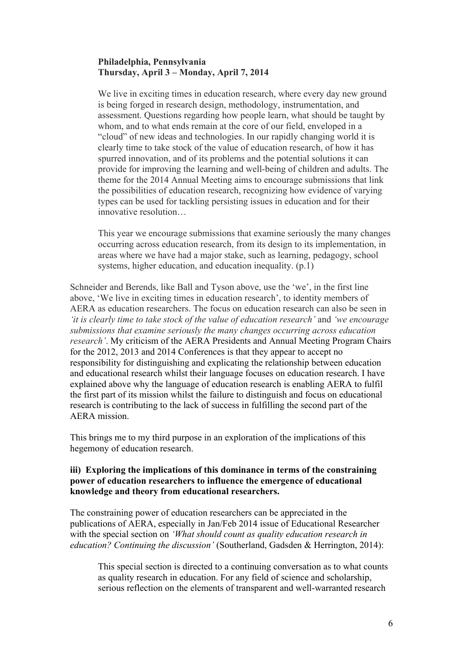### **Philadelphia, Pennsylvania Thursday, April 3 – Monday, April 7, 2014**

We live in exciting times in education research, where every day new ground is being forged in research design, methodology, instrumentation, and assessment. Questions regarding how people learn, what should be taught by whom, and to what ends remain at the core of our field, enveloped in a "cloud" of new ideas and technologies. In our rapidly changing world it is clearly time to take stock of the value of education research, of how it has spurred innovation, and of its problems and the potential solutions it can provide for improving the learning and well-being of children and adults. The theme for the 2014 Annual Meeting aims to encourage submissions that link the possibilities of education research, recognizing how evidence of varying types can be used for tackling persisting issues in education and for their innovative resolution…

This year we encourage submissions that examine seriously the many changes occurring across education research, from its design to its implementation, in areas where we have had a major stake, such as learning, pedagogy, school systems, higher education, and education inequality. (p.1)

Schneider and Berends, like Ball and Tyson above, use the 'we', in the first line above, 'We live in exciting times in education research', to identity members of AERA as education researchers. The focus on education research can also be seen in *'it is clearly time to take stock of the value of education research'* and *'we encourage submissions that examine seriously the many changes occurring across education research'*. My criticism of the AERA Presidents and Annual Meeting Program Chairs for the 2012, 2013 and 2014 Conferences is that they appear to accept no responsibility for distinguishing and explicating the relationship between education and educational research whilst their language focuses on education research. I have explained above why the language of education research is enabling AERA to fulfil the first part of its mission whilst the failure to distinguish and focus on educational research is contributing to the lack of success in fulfilling the second part of the AERA mission.

This brings me to my third purpose in an exploration of the implications of this hegemony of education research.

### **iii) Exploring the implications of this dominance in terms of the constraining power of education researchers to influence the emergence of educational knowledge and theory from educational researchers.**

The constraining power of education researchers can be appreciated in the publications of AERA, especially in Jan/Feb 2014 issue of Educational Researcher with the special section on *'What should count as quality education research in education? Continuing the discussion'* (Southerland, Gadsden & Herrington, 2014):

This special section is directed to a continuing conversation as to what counts as quality research in education. For any field of science and scholarship, serious reflection on the elements of transparent and well-warranted research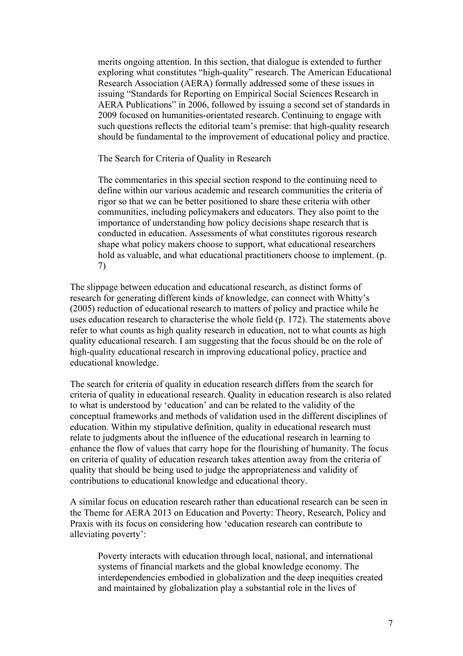merits ongoing attention. In this section, that dialogue is extended to further exploring what constitutes "high-quality" research. The American Educational Research Association (AERA) formally addressed some of these issues in issuing "Standards for Reporting on Empirical Social Sciences Research in AERA Publications" in 2006, followed by issuing a second set of standards in 2009 focused on humanities-orientated research. Continuing to engage with such questions reflects the editorial team's premise: that high-quality research should be fundamental to the improvement of educational policy and practice.

The Search for Criteria of Quality in Research

The commentaries in this special section respond to the continuing need to define within our various academic and research communities the criteria of rigor so that we can be better positioned to share these criteria with other communities, including policymakers and educators. They also point to the importance of understanding how policy decisions shape research that is conducted in education. Assessments of what constitutes rigorous research shape what policy makers choose to support, what educational researchers hold as valuable, and what educational practitioners choose to implement. (p. 7)

The slippage between education and educational research, as distinct forms of research for generating different kinds of knowledge, can connect with Whitty's (2005) reduction of educational research to matters of policy and practice while he uses education research to characterise the whole field (p. 172). The statements above refer to what counts as high quality research in education, not to what counts as high quality educational research. I am suggesting that the focus should be on the role of high-quality educational research in improving educational policy, practice and educational knowledge.

The search for criteria of quality in education research differs from the search for criteria of quality in educational research. Quality in education research is also related to what is understood by 'education' and can be related to the validity of the conceptual frameworks and methods of validation used in the different disciplines of education. Within my stipulative definition, quality in educational research must relate to judgments about the influence of the educational research in learning to enhance the flow of values that carry hope for the flourishing of humanity. The focus on criteria of quality of education research takes attention away from the criteria of quality that should be being used to judge the appropriateness and validity of contributions to educational knowledge and educational theory.

A similar focus on education research rather than educational research can be seen in the Theme for AERA 2013 on Education and Poverty: Theory, Research, Policy and Praxis with its focus on considering how 'education research can contribute to alleviating poverty':

Poverty interacts with education through local, national, and international systems of financial markets and the global knowledge economy. The interdependencies embodied in globalization and the deep inequities created and maintained by globalization play a substantial role in the lives of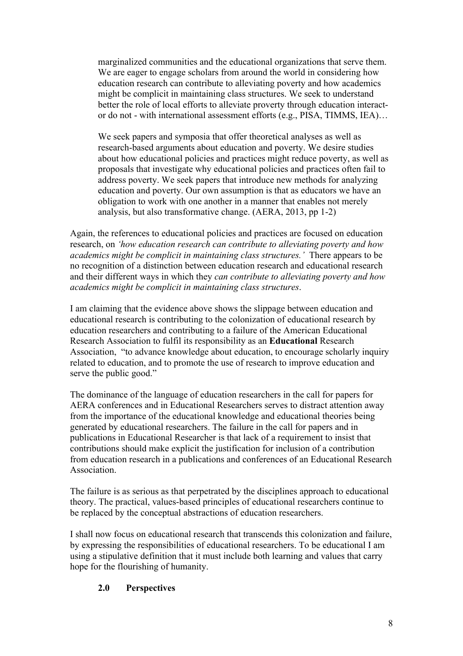marginalized communities and the educational organizations that serve them. We are eager to engage scholars from around the world in considering how education research can contribute to alleviating poverty and how academics might be complicit in maintaining class structures. We seek to understand better the role of local efforts to alleviate proverty through education interactor do not - with international assessment efforts (e.g., PISA, TIMMS, IEA)…

We seek papers and symposia that offer theoretical analyses as well as research-based arguments about education and poverty. We desire studies about how educational policies and practices might reduce poverty, as well as proposals that investigate why educational policies and practices often fail to address poverty. We seek papers that introduce new methods for analyzing education and poverty. Our own assumption is that as educators we have an obligation to work with one another in a manner that enables not merely analysis, but also transformative change. (AERA, 2013, pp 1-2)

Again, the references to educational policies and practices are focused on education research, on *'how education research can contribute to alleviating poverty and how academics might be complicit in maintaining class structures.'* There appears to be no recognition of a distinction between education research and educational research and their different ways in which they *can contribute to alleviating poverty and how academics might be complicit in maintaining class structures*.

I am claiming that the evidence above shows the slippage between education and educational research is contributing to the colonization of educational research by education researchers and contributing to a failure of the American Educational Research Association to fulfil its responsibility as an **Educational** Research Association, "to advance knowledge about education, to encourage scholarly inquiry related to education, and to promote the use of research to improve education and serve the public good."

The dominance of the language of education researchers in the call for papers for AERA conferences and in Educational Researchers serves to distract attention away from the importance of the educational knowledge and educational theories being generated by educational researchers. The failure in the call for papers and in publications in Educational Researcher is that lack of a requirement to insist that contributions should make explicit the justification for inclusion of a contribution from education research in a publications and conferences of an Educational Research Association.

The failure is as serious as that perpetrated by the disciplines approach to educational theory. The practical, values-based principles of educational researchers continue to be replaced by the conceptual abstractions of education researchers.

I shall now focus on educational research that transcends this colonization and failure, by expressing the responsibilities of educational researchers. To be educational I am using a stipulative definition that it must include both learning and values that carry hope for the flourishing of humanity.

# **2.0 Perspectives**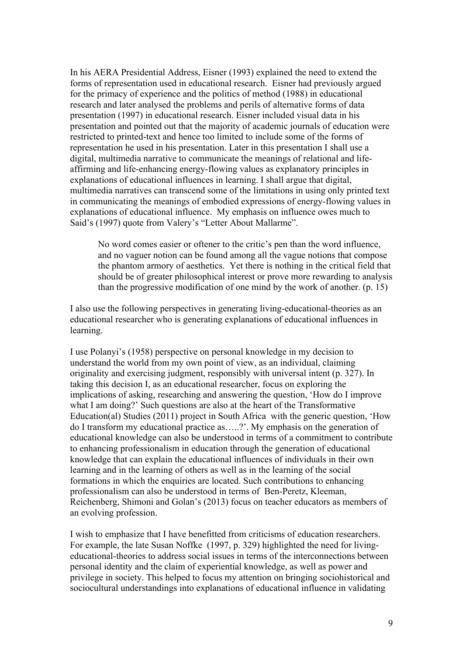In his AERA Presidential Address, Eisner (1993) explained the need to extend the forms of representation used in educational research. Eisner had previously argued for the primacy of experience and the politics of method (1988) in educational research and later analysed the problems and perils of alternative forms of data presentation (1997) in educational research. Eisner included visual data in his presentation and pointed out that the majority of academic journals of education were restricted to printed-text and hence too limited to include some of the forms of representation he used in his presentation. Later in this presentation I shall use a digital, multimedia narrative to communicate the meanings of relational and lifeaffirming and life-enhancing energy-flowing values as explanatory principles in explanations of educational influences in learning. I shall argue that digital, multimedia narratives can transcend some of the limitations in using only printed text in communicating the meanings of embodied expressions of energy-flowing values in explanations of educational influence. My emphasis on influence owes much to Said's (1997) quote from Valery's "Letter About Mallarme".

No word comes easier or oftener to the critic's pen than the word influence, and no vaguer notion can be found among all the vague notions that compose the phantom armory of aesthetics. Yet there is nothing in the critical field that should be of greater philosophical interest or prove more rewarding to analysis than the progressive modification of one mind by the work of another. (p. 15)

I also use the following perspectives in generating living-educational-theories as an educational researcher who is generating explanations of educational influences in learning.

I use Polanyi's (1958) perspective on personal knowledge in my decision to understand the world from my own point of view, as an individual, claiming originality and exercising judgment, responsibly with universal intent (p. 327). In taking this decision I, as an educational researcher, focus on exploring the implications of asking, researching and answering the question, 'How do I improve what I am doing?' Such questions are also at the heart of the Transformative Education(al) Studies (2011) project in South Africa with the generic question, 'How do I transform my educational practice as…..?'. My emphasis on the generation of educational knowledge can also be understood in terms of a commitment to contribute to enhancing professionalism in education through the generation of educational knowledge that can explain the educational influences of individuals in their own learning and in the learning of others as well as in the learning of the social formations in which the enquiries are located. Such contributions to enhancing professionalism can also be understood in terms of Ben-Peretz, Kleeman, Reichenberg, Shimoni and Golan's (2013) focus on teacher educators as members of an evolving profession.

I wish to emphasize that I have benefitted from criticisms of education researchers. For example, the late Susan Noffke (1997, p. 329) highlighted the need for livingeducational-theories to address social issues in terms of the interconnections between personal identity and the claim of experiential knowledge, as well as power and privilege in society. This helped to focus my attention on bringing sociohistorical and sociocultural understandings into explanations of educational influence in validating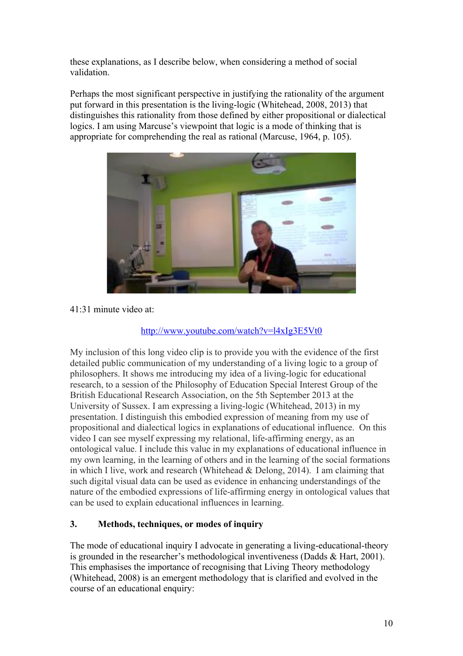these explanations, as I describe below, when considering a method of social validation.

Perhaps the most significant perspective in justifying the rationality of the argument put forward in this presentation is the living-logic (Whitehead, 2008, 2013) that distinguishes this rationality from those defined by either propositional or dialectical logics. I am using Marcuse's viewpoint that logic is a mode of thinking that is appropriate for comprehending the real as rational (Marcuse, 1964, p. 105).



41:31 minute video at:

# http://www.youtube.com/watch?v=l4xIg3E5Vt0

My inclusion of this long video clip is to provide you with the evidence of the first detailed public communication of my understanding of a living logic to a group of philosophers. It shows me introducing my idea of a living-logic for educational research, to a session of the Philosophy of Education Special Interest Group of the British Educational Research Association, on the 5th September 2013 at the University of Sussex. I am expressing a living-logic (Whitehead, 2013) in my presentation. I distinguish this embodied expression of meaning from my use of propositional and dialectical logics in explanations of educational influence. On this video I can see myself expressing my relational, life-affirming energy, as an ontological value. I include this value in my explanations of educational influence in my own learning, in the learning of others and in the learning of the social formations in which I live, work and research (Whitehead & Delong, 2014). I am claiming that such digital visual data can be used as evidence in enhancing understandings of the nature of the embodied expressions of life-affirming energy in ontological values that can be used to explain educational influences in learning.

# **3. Methods, techniques, or modes of inquiry**

The mode of educational inquiry I advocate in generating a living-educational-theory is grounded in the researcher's methodological inventiveness (Dadds & Hart, 2001). This emphasises the importance of recognising that Living Theory methodology (Whitehead, 2008) is an emergent methodology that is clarified and evolved in the course of an educational enquiry: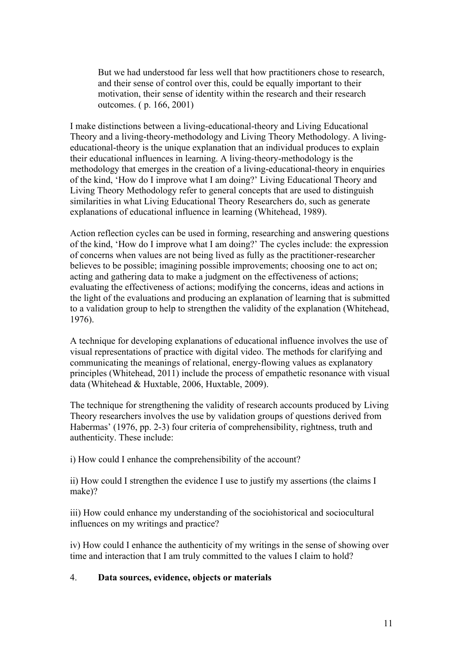But we had understood far less well that how practitioners chose to research, and their sense of control over this, could be equally important to their motivation, their sense of identity within the research and their research outcomes. ( p. 166, 2001)

I make distinctions between a living-educational-theory and Living Educational Theory and a living-theory-methodology and Living Theory Methodology. A livingeducational-theory is the unique explanation that an individual produces to explain their educational influences in learning. A living-theory-methodology is the methodology that emerges in the creation of a living-educational-theory in enquiries of the kind, 'How do I improve what I am doing?' Living Educational Theory and Living Theory Methodology refer to general concepts that are used to distinguish similarities in what Living Educational Theory Researchers do, such as generate explanations of educational influence in learning (Whitehead, 1989).

Action reflection cycles can be used in forming, researching and answering questions of the kind, 'How do I improve what I am doing?' The cycles include: the expression of concerns when values are not being lived as fully as the practitioner-researcher believes to be possible; imagining possible improvements; choosing one to act on; acting and gathering data to make a judgment on the effectiveness of actions; evaluating the effectiveness of actions; modifying the concerns, ideas and actions in the light of the evaluations and producing an explanation of learning that is submitted to a validation group to help to strengthen the validity of the explanation (Whitehead, 1976).

A technique for developing explanations of educational influence involves the use of visual representations of practice with digital video. The methods for clarifying and communicating the meanings of relational, energy-flowing values as explanatory principles (Whitehead, 2011) include the process of empathetic resonance with visual data (Whitehead & Huxtable, 2006, Huxtable, 2009).

The technique for strengthening the validity of research accounts produced by Living Theory researchers involves the use by validation groups of questions derived from Habermas' (1976, pp. 2-3) four criteria of comprehensibility, rightness, truth and authenticity. These include:

i) How could I enhance the comprehensibility of the account?

ii) How could I strengthen the evidence I use to justify my assertions (the claims I make)?

iii) How could enhance my understanding of the sociohistorical and sociocultural influences on my writings and practice?

iv) How could I enhance the authenticity of my writings in the sense of showing over time and interaction that I am truly committed to the values I claim to hold?

# 4. **Data sources, evidence, objects or materials**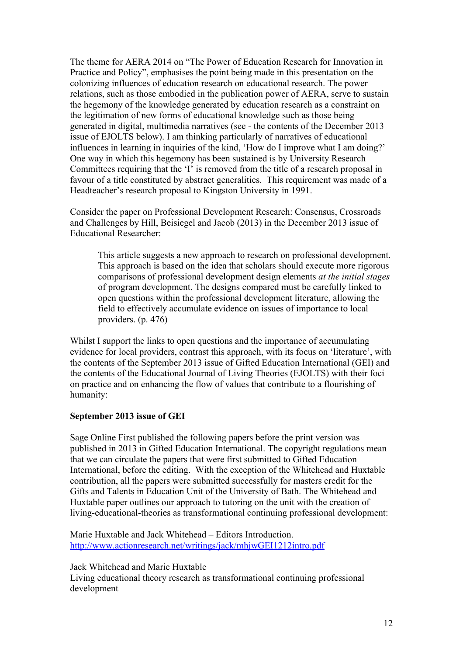The theme for AERA 2014 on "The Power of Education Research for Innovation in Practice and Policy", emphasises the point being made in this presentation on the colonizing influences of education research on educational research. The power relations, such as those embodied in the publication power of AERA, serve to sustain the hegemony of the knowledge generated by education research as a constraint on the legitimation of new forms of educational knowledge such as those being generated in digital, multimedia narratives (see - the contents of the December 2013 issue of EJOLTS below). I am thinking particularly of narratives of educational influences in learning in inquiries of the kind, 'How do I improve what I am doing?' One way in which this hegemony has been sustained is by University Research Committees requiring that the 'I' is removed from the title of a research proposal in favour of a title constituted by abstract generalities. This requirement was made of a Headteacher's research proposal to Kingston University in 1991.

Consider the paper on Professional Development Research: Consensus, Crossroads and Challenges by Hill, Beisiegel and Jacob (2013) in the December 2013 issue of Educational Researcher:

This article suggests a new approach to research on professional development. This approach is based on the idea that scholars should execute more rigorous comparisons of professional development design elements *at the initial stages* of program development. The designs compared must be carefully linked to open questions within the professional development literature, allowing the field to effectively accumulate evidence on issues of importance to local providers. (p. 476)

Whilst I support the links to open questions and the importance of accumulating evidence for local providers, contrast this approach, with its focus on 'literature', with the contents of the September 2013 issue of Gifted Education International (GEI) and the contents of the Educational Journal of Living Theories (EJOLTS) with their foci on practice and on enhancing the flow of values that contribute to a flourishing of humanity:

#### **September 2013 issue of GEI**

Sage Online First published the following papers before the print version was published in 2013 in Gifted Education International. The copyright regulations mean that we can circulate the papers that were first submitted to Gifted Education International, before the editing. With the exception of the Whitehead and Huxtable contribution, all the papers were submitted successfully for masters credit for the Gifts and Talents in Education Unit of the University of Bath. The Whitehead and Huxtable paper outlines our approach to tutoring on the unit with the creation of living-educational-theories as transformational continuing professional development:

Marie Huxtable and Jack Whitehead – Editors Introduction. http://www.actionresearch.net/writings/jack/mhjwGEI1212intro.pdf

Jack Whitehead and Marie Huxtable

Living educational theory research as transformational continuing professional development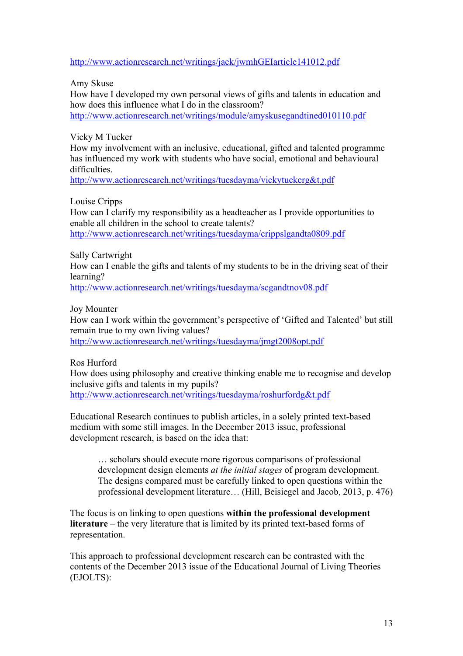http://www.actionresearch.net/writings/jack/jwmhGEIarticle141012.pdf

Amy Skuse

How have I developed my own personal views of gifts and talents in education and how does this influence what I do in the classroom? http://www.actionresearch.net/writings/module/amyskusegandtined010110.pdf

Vicky M Tucker

How my involvement with an inclusive, educational, gifted and talented programme has influenced my work with students who have social, emotional and behavioural difficulties.

http://www.actionresearch.net/writings/tuesdayma/vickytuckerg&t.pdf

Louise Cripps

How can I clarify my responsibility as a headteacher as I provide opportunities to enable all children in the school to create talents? http://www.actionresearch.net/writings/tuesdayma/crippslgandta0809.pdf

Sally Cartwright

How can I enable the gifts and talents of my students to be in the driving seat of their learning?

http://www.actionresearch.net/writings/tuesdayma/scgandtnov08.pdf

Joy Mounter

How can I work within the government's perspective of 'Gifted and Talented' but still remain true to my own living values? http://www.actionresearch.net/writings/tuesdayma/jmgt2008opt.pdf

Ros Hurford

How does using philosophy and creative thinking enable me to recognise and develop inclusive gifts and talents in my pupils? http://www.actionresearch.net/writings/tuesdayma/roshurfordg&t.pdf

Educational Research continues to publish articles, in a solely printed text-based medium with some still images. In the December 2013 issue, professional development research, is based on the idea that:

… scholars should execute more rigorous comparisons of professional development design elements *at the initial stages* of program development. The designs compared must be carefully linked to open questions within the professional development literature… (Hill, Beisiegel and Jacob, 2013, p. 476)

The focus is on linking to open questions **within the professional development literature** – the very literature that is limited by its printed text-based forms of representation.

This approach to professional development research can be contrasted with the contents of the December 2013 issue of the Educational Journal of Living Theories (EJOLTS):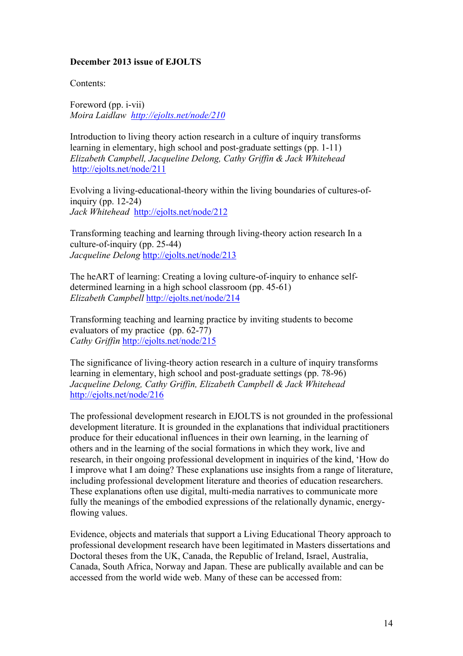## **December 2013 issue of EJOLTS**

Contents:

Foreword (pp. i-vii) *Moira Laidlaw http://ejolts.net/node/210*

Introduction to living theory action research in a culture of inquiry transforms learning in elementary, high school and post-graduate settings (pp. 1-11) *Elizabeth Campbell, Jacqueline Delong, Cathy Griffin & Jack Whitehead* http://ejolts.net/node/211

Evolving a living-educational-theory within the living boundaries of cultures-ofinquiry (pp.  $12-24$ ) *Jack Whitehead* http://ejolts.net/node/212

Transforming teaching and learning through living-theory action research In a culture-of-inquiry (pp. 25-44) *Jacqueline Delong* http://ejolts.net/node/213

The heART of learning: Creating a loving culture-of-inquiry to enhance selfdetermined learning in a high school classroom (pp. 45-61) *Elizabeth Campbell* http://ejolts.net/node/214

Transforming teaching and learning practice by inviting students to become evaluators of my practice (pp. 62-77) *Cathy Griffin* http://ejolts.net/node/215

The significance of living-theory action research in a culture of inquiry transforms learning in elementary, high school and post-graduate settings (pp. 78-96) *Jacqueline Delong, Cathy Griffin, Elizabeth Campbell & Jack Whitehead* http://ejolts.net/node/216

The professional development research in EJOLTS is not grounded in the professional development literature. It is grounded in the explanations that individual practitioners produce for their educational influences in their own learning, in the learning of others and in the learning of the social formations in which they work, live and research, in their ongoing professional development in inquiries of the kind, 'How do I improve what I am doing? These explanations use insights from a range of literature, including professional development literature and theories of education researchers. These explanations often use digital, multi-media narratives to communicate more fully the meanings of the embodied expressions of the relationally dynamic, energyflowing values.

Evidence, objects and materials that support a Living Educational Theory approach to professional development research have been legitimated in Masters dissertations and Doctoral theses from the UK, Canada, the Republic of Ireland, Israel, Australia, Canada, South Africa, Norway and Japan. These are publically available and can be accessed from the world wide web. Many of these can be accessed from: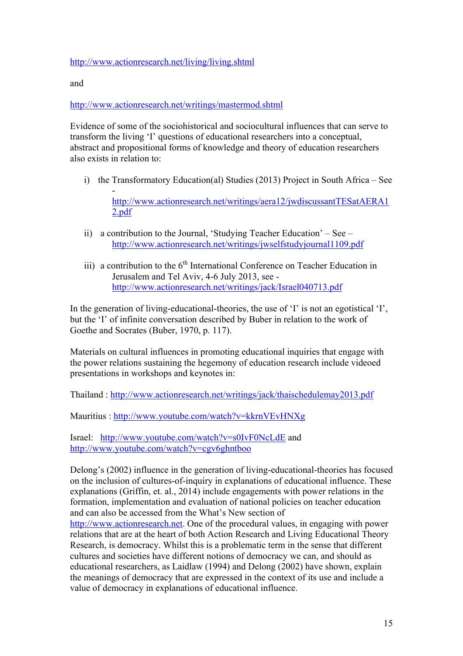## http://www.actionresearch.net/living/living.shtml

and

http://www.actionresearch.net/writings/mastermod.shtml

Evidence of some of the sociohistorical and sociocultural influences that can serve to transform the living 'I' questions of educational researchers into a conceptual, abstract and propositional forms of knowledge and theory of education researchers also exists in relation to:

i) the Transformatory Education(al) Studies (2013) Project in South Africa – See

 http://www.actionresearch.net/writings/aera12/jwdiscussantTESatAERA1 2.pdf

- ii) a contribution to the Journal, 'Studying Teacher Education' See http://www.actionresearch.net/writings/jwselfstudyjournal1109.pdf
- iii) a contribution to the  $6<sup>th</sup>$  International Conference on Teacher Education in Jerusalem and Tel Aviv, 4-6 July 2013, see http://www.actionresearch.net/writings/jack/Israel040713.pdf

In the generation of living-educational-theories, the use of 'I' is not an egotistical 'I', but the 'I' of infinite conversation described by Buber in relation to the work of Goethe and Socrates (Buber, 1970, p. 117).

Materials on cultural influences in promoting educational inquiries that engage with the power relations sustaining the hegemony of education research include videoed presentations in workshops and keynotes in:

Thailand : http://www.actionresearch.net/writings/jack/thaischedulemay2013.pdf

Mauritius : http://www.youtube.com/watch?v=kkrnVEvHNXg

Israel: http://www.youtube.com/watch?v=s0IvF0NcLdE and http://www.youtube.com/watch?v=cgv6ghntboo

Delong's (2002) influence in the generation of living-educational-theories has focused on the inclusion of cultures-of-inquiry in explanations of educational influence. These explanations (Griffin, et. al., 2014) include engagements with power relations in the formation, implementation and evaluation of national policies on teacher education and can also be accessed from the What's New section of http://www.actionresearch.net. One of the procedural values, in engaging with power relations that are at the heart of both Action Research and Living Educational Theory Research, is democracy. Whilst this is a problematic term in the sense that different cultures and societies have different notions of democracy we can, and should as educational researchers, as Laidlaw (1994) and Delong (2002) have shown, explain the meanings of democracy that are expressed in the context of its use and include a value of democracy in explanations of educational influence.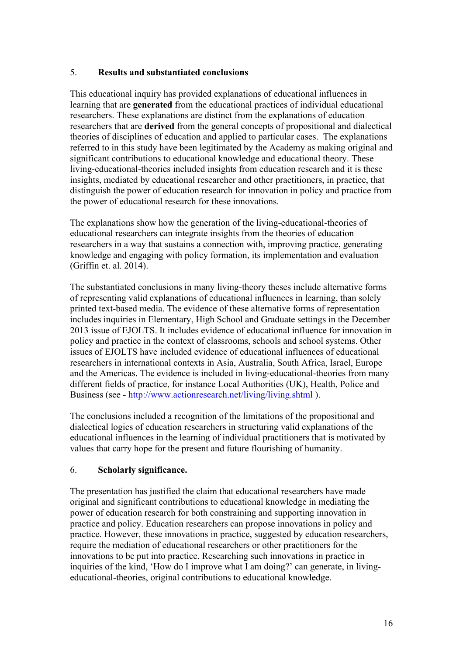# 5. **Results and substantiated conclusions**

This educational inquiry has provided explanations of educational influences in learning that are **generated** from the educational practices of individual educational researchers. These explanations are distinct from the explanations of education researchers that are **derived** from the general concepts of propositional and dialectical theories of disciplines of education and applied to particular cases. The explanations referred to in this study have been legitimated by the Academy as making original and significant contributions to educational knowledge and educational theory. These living-educational-theories included insights from education research and it is these insights, mediated by educational researcher and other practitioners, in practice, that distinguish the power of education research for innovation in policy and practice from the power of educational research for these innovations.

The explanations show how the generation of the living-educational-theories of educational researchers can integrate insights from the theories of education researchers in a way that sustains a connection with, improving practice, generating knowledge and engaging with policy formation, its implementation and evaluation (Griffin et. al. 2014).

The substantiated conclusions in many living-theory theses include alternative forms of representing valid explanations of educational influences in learning, than solely printed text-based media. The evidence of these alternative forms of representation includes inquiries in Elementary, High School and Graduate settings in the December 2013 issue of EJOLTS. It includes evidence of educational influence for innovation in policy and practice in the context of classrooms, schools and school systems. Other issues of EJOLTS have included evidence of educational influences of educational researchers in international contexts in Asia, Australia, South Africa, Israel, Europe and the Americas. The evidence is included in living-educational-theories from many different fields of practice, for instance Local Authorities (UK), Health, Police and Business (see - http://www.actionresearch.net/living/living.shtml ).

The conclusions included a recognition of the limitations of the propositional and dialectical logics of education researchers in structuring valid explanations of the educational influences in the learning of individual practitioners that is motivated by values that carry hope for the present and future flourishing of humanity.

# 6. **Scholarly significance.**

The presentation has justified the claim that educational researchers have made original and significant contributions to educational knowledge in mediating the power of education research for both constraining and supporting innovation in practice and policy. Education researchers can propose innovations in policy and practice. However, these innovations in practice, suggested by education researchers, require the mediation of educational researchers or other practitioners for the innovations to be put into practice. Researching such innovations in practice in inquiries of the kind, 'How do I improve what I am doing?' can generate, in livingeducational-theories, original contributions to educational knowledge.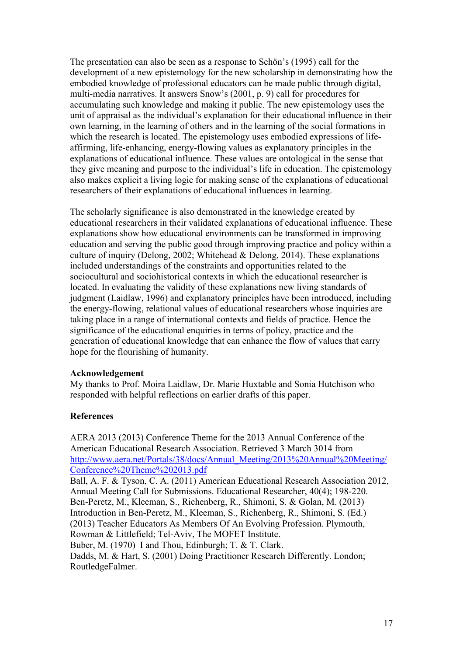The presentation can also be seen as a response to Schön's (1995) call for the development of a new epistemology for the new scholarship in demonstrating how the embodied knowledge of professional educators can be made public through digital, multi-media narratives. It answers Snow's (2001, p. 9) call for procedures for accumulating such knowledge and making it public. The new epistemology uses the unit of appraisal as the individual's explanation for their educational influence in their own learning, in the learning of others and in the learning of the social formations in which the research is located. The epistemology uses embodied expressions of lifeaffirming, life-enhancing, energy-flowing values as explanatory principles in the explanations of educational influence. These values are ontological in the sense that they give meaning and purpose to the individual's life in education. The epistemology also makes explicit a living logic for making sense of the explanations of educational researchers of their explanations of educational influences in learning.

The scholarly significance is also demonstrated in the knowledge created by educational researchers in their validated explanations of educational influence. These explanations show how educational environments can be transformed in improving education and serving the public good through improving practice and policy within a culture of inquiry (Delong, 2002; Whitehead & Delong, 2014). These explanations included understandings of the constraints and opportunities related to the sociocultural and sociohistorical contexts in which the educational researcher is located. In evaluating the validity of these explanations new living standards of judgment (Laidlaw, 1996) and explanatory principles have been introduced, including the energy-flowing, relational values of educational researchers whose inquiries are taking place in a range of international contexts and fields of practice. Hence the significance of the educational enquiries in terms of policy, practice and the generation of educational knowledge that can enhance the flow of values that carry hope for the flourishing of humanity.

#### **Acknowledgement**

My thanks to Prof. Moira Laidlaw, Dr. Marie Huxtable and Sonia Hutchison who responded with helpful reflections on earlier drafts of this paper.

#### **References**

AERA 2013 (2013) Conference Theme for the 2013 Annual Conference of the American Educational Research Association. Retrieved 3 March 3014 from http://www.aera.net/Portals/38/docs/Annual\_Meeting/2013%20Annual%20Meeting/ Conference%20Theme%202013.pdf

Ball, A. F. & Tyson, C. A. (2011) American Educational Research Association 2012, Annual Meeting Call for Submissions. Educational Researcher, 40(4); 198-220. Ben-Peretz, M., Kleeman, S., Richenberg, R., Shimoni, S. & Golan, M. (2013) Introduction in Ben-Peretz, M., Kleeman, S., Richenberg, R., Shimoni, S. (Ed.) (2013) Teacher Educators As Members Of An Evolving Profession. Plymouth, Rowman & Littlefield; Tel-Aviv, The MOFET Institute.

Buber, M. (1970) I and Thou, Edinburgh; T. & T. Clark.

Dadds, M. & Hart, S. (2001) Doing Practitioner Research Differently. London; RoutledgeFalmer.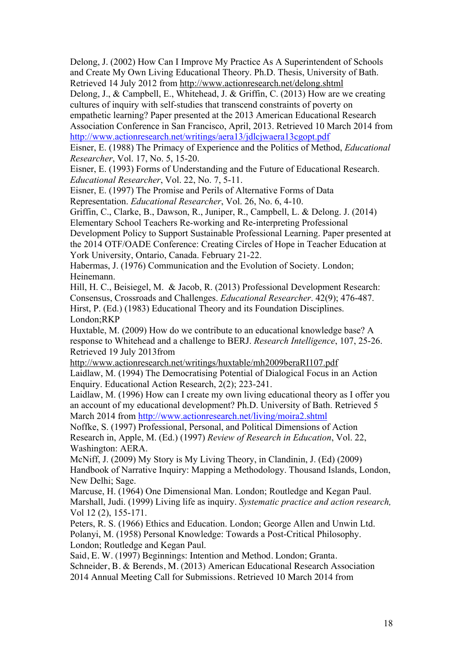Delong, J. (2002) How Can I Improve My Practice As A Superintendent of Schools and Create My Own Living Educational Theory. Ph.D. Thesis, University of Bath. Retrieved 14 July 2012 from http://www.actionresearch.net/delong.shtml

Delong, J., & Campbell, E., Whitehead, J. & Griffin, C. (2013) How are we creating cultures of inquiry with self-studies that transcend constraints of poverty on

empathetic learning? Paper presented at the 2013 American Educational Research Association Conference in San Francisco, April, 2013. Retrieved 10 March 2014 from http://www.actionresearch.net/writings/aera13/jdlcjwaera13cgopt.pdf

Eisner, E. (1988) The Primacy of Experience and the Politics of Method, *Educational Researcher*, Vol. 17, No. 5, 15-20.

Eisner, E. (1993) Forms of Understanding and the Future of Educational Research. *Educational Researcher*, Vol. 22, No. 7, 5-11.

Eisner, E. (1997) The Promise and Perils of Alternative Forms of Data

Representation. *Educational Researcher*, Vol. 26, No. 6, 4-10.

Griffin, C., Clarke, B., Dawson, R., Juniper, R., Campbell, L. & Delong. J. (2014) Elementary School Teachers Re-working and Re-interpreting Professional

Development Policy to Support Sustainable Professional Learning. Paper presented at the 2014 OTF/OADE Conference: Creating Circles of Hope in Teacher Education at York University, Ontario, Canada. February 21-22.

Habermas, J. (1976) Communication and the Evolution of Society. London; Heinemann.

Hill, H. C., Beisiegel, M. & Jacob, R. (2013) Professional Development Research: Consensus, Crossroads and Challenges. *Educational Researcher*. 42(9); 476-487. Hirst, P. (Ed.) (1983) Educational Theory and its Foundation Disciplines. London;RKP

Huxtable, M. (2009) How do we contribute to an educational knowledge base? A response to Whitehead and a challenge to BERJ. *Research Intelligence*, 107, 25-26. Retrieved 19 July 2013from

http://www.actionresearch.net/writings/huxtable/mh2009beraRI107.pdf Laidlaw, M. (1994) The Democratising Potential of Dialogical Focus in an Action Enquiry. Educational Action Research, 2(2); 223-241.

Laidlaw, M. (1996) How can I create my own living educational theory as I offer you an account of my educational development? Ph.D. University of Bath. Retrieved 5 March 2014 from http://www.actionresearch.net/living/moira2.shtml

Noffke, S. (1997) Professional, Personal, and Political Dimensions of Action Research in, Apple, M. (Ed.) (1997) *Review of Research in Education*, Vol. 22, Washington: AERA.

McNiff, J. (2009) My Story is My Living Theory, in Clandinin, J. (Ed) (2009) Handbook of Narrative Inquiry: Mapping a Methodology. Thousand Islands, London, New Delhi; Sage.

Marcuse, H. (1964) One Dimensional Man. London; Routledge and Kegan Paul. Marshall, Judi. (1999) Living life as inquiry. *Systematic practice and action research,* Vol 12 (2), 155-171.

Peters, R. S. (1966) Ethics and Education. London; George Allen and Unwin Ltd. Polanyi, M. (1958) Personal Knowledge: Towards a Post-Critical Philosophy. London; Routledge and Kegan Paul.

Said, E. W. (1997) Beginnings: Intention and Method. London; Granta.

Schneider, B. & Berends, M. (2013) American Educational Research Association

2014 Annual Meeting Call for Submissions. Retrieved 10 March 2014 from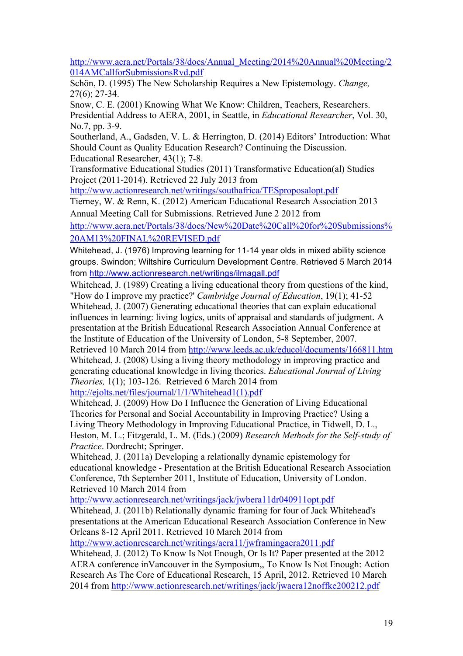http://www.aera.net/Portals/38/docs/Annual\_Meeting/2014%20Annual%20Meeting/2 014AMCallforSubmissionsRvd.pdf

Schön, D. (1995) The New Scholarship Requires a New Epistemology. *Change,* 27(6); 27-34.

Snow, C. E. (2001) Knowing What We Know: Children, Teachers, Researchers. Presidential Address to AERA, 2001, in Seattle, in *Educational Researcher*, Vol. 30, No.7, pp. 3-9.

Southerland, A., Gadsden, V. L. & Herrington, D. (2014) Editors' Introduction: What Should Count as Quality Education Research? Continuing the Discussion. Educational Researcher, 43(1); 7-8.

Transformative Educational Studies (2011) Transformative Education(al) Studies Project (2011-2014). Retrieved 22 July 2013 from

http://www.actionresearch.net/writings/southafrica/TESproposalopt.pdf

Tierney, W. & Renn, K. (2012) American Educational Research Association 2013 Annual Meeting Call for Submissions. Retrieved June 2 2012 from

http://www.aera.net/Portals/38/docs/New%20Date%20Call%20for%20Submissions% 20AM13%20FINAL%20REVISED.pdf

Whitehead, J. (1976) Improving learning for 11-14 year olds in mixed ability science groups. Swindon; Wiltshire Curriculum Development Centre. Retrieved 5 March 2014 from http://www.actionresearch.net/writings/ilmagall.pdf

Whitehead, J. (1989) Creating a living educational theory from questions of the kind, "How do I improve my practice?' *Cambridge Journal of Education*, 19(1); 41-52 Whitehead, J. (2007) Generating educational theories that can explain educational influences in learning: living logics, units of appraisal and standards of judgment. A presentation at the British Educational Research Association Annual Conference at the Institute of Education of the University of London, 5-8 September, 2007. Retrieved 10 March 2014 from http://www.leeds.ac.uk/educol/documents/166811.htm Whitehead, J. (2008) Using a living theory methodology in improving practice and generating educational knowledge in living theories. *Educational Journal of Living* 

*Theories,* 1(1); 103-126. Retrieved 6 March 2014 from

http://ejolts.net/files/journal/1/1/Whitehead1(1).pdf

Whitehead, J. (2009) How Do I Influence the Generation of Living Educational Theories for Personal and Social Accountability in Improving Practice? Using a Living Theory Methodology in Improving Educational Practice, in Tidwell, D. L., Heston, M. L.; Fitzgerald, L. M. (Eds.) (2009) *Research Methods for the Self-study of Practice*. Dordrecht; Springer.

Whitehead, J. (2011a) Developing a relationally dynamic epistemology for educational knowledge - Presentation at the British Educational Research Association Conference, 7th September 2011, Institute of Education, University of London. Retrieved 10 March 2014 from

http://www.actionresearch.net/writings/jack/jwbera11dr040911opt.pdf

Whitehead, J. (2011b) Relationally dynamic framing for four of Jack Whitehead's presentations at the American Educational Research Association Conference in New Orleans 8-12 April 2011. Retrieved 10 March 2014 from

http://www.actionresearch.net/writings/aera11/jwframingaera2011.pdf

Whitehead, J. (2012) To Know Is Not Enough, Or Is It? Paper presented at the 2012 AERA conference inVancouver in the Symposium,, To Know Is Not Enough: Action Research As The Core of Educational Research, 15 April, 2012. Retrieved 10 March 2014 from http://www.actionresearch.net/writings/jack/jwaera12noffke200212.pdf